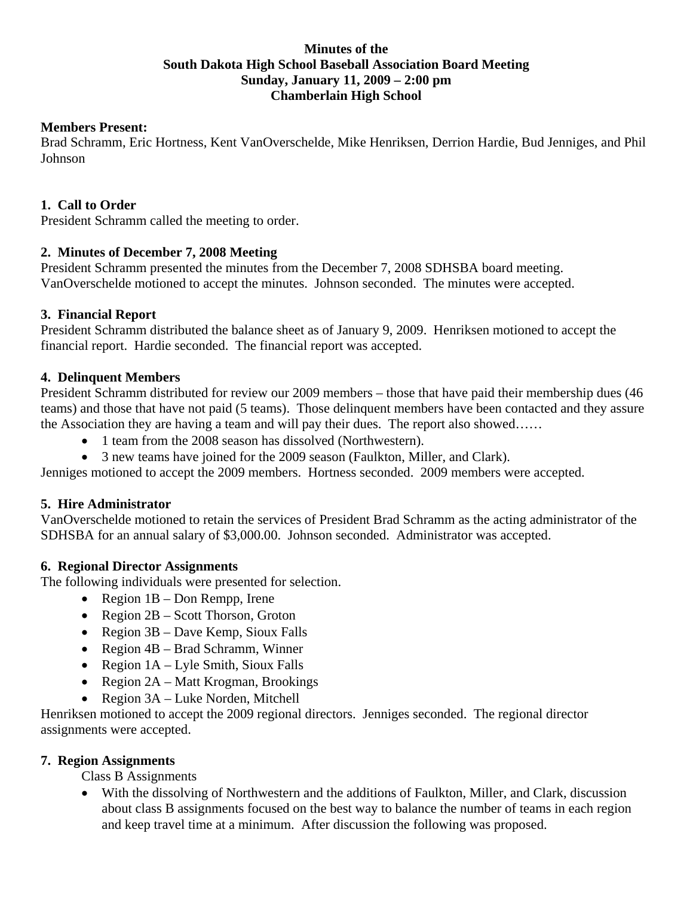# **Minutes of the South Dakota High School Baseball Association Board Meeting Sunday, January 11, 2009 – 2:00 pm Chamberlain High School**

# **Members Present:**

Brad Schramm, Eric Hortness, Kent VanOverschelde, Mike Henriksen, Derrion Hardie, Bud Jenniges, and Phil Johnson

# **1. Call to Order**

President Schramm called the meeting to order.

# **2. Minutes of December 7, 2008 Meeting**

President Schramm presented the minutes from the December 7, 2008 SDHSBA board meeting. VanOverschelde motioned to accept the minutes. Johnson seconded. The minutes were accepted.

# **3. Financial Report**

President Schramm distributed the balance sheet as of January 9, 2009. Henriksen motioned to accept the financial report. Hardie seconded. The financial report was accepted.

# **4. Delinquent Members**

President Schramm distributed for review our 2009 members – those that have paid their membership dues (46 teams) and those that have not paid (5 teams). Those delinquent members have been contacted and they assure the Association they are having a team and will pay their dues. The report also showed……

- 1 team from the 2008 season has dissolved (Northwestern).
- 3 new teams have joined for the 2009 season (Faulkton, Miller, and Clark).

Jenniges motioned to accept the 2009 members. Hortness seconded. 2009 members were accepted.

# **5. Hire Administrator**

VanOverschelde motioned to retain the services of President Brad Schramm as the acting administrator of the SDHSBA for an annual salary of \$3,000.00. Johnson seconded. Administrator was accepted.

# **6. Regional Director Assignments**

The following individuals were presented for selection.

- Region 1B Don Rempp, Irene
- Region 2B Scott Thorson, Groton
- Region 3B Dave Kemp, Sioux Falls
- Region 4B Brad Schramm, Winner
- Region  $1A Lyle Smith$ , Sioux Falls
- Region 2A Matt Krogman, Brookings
- Region 3A Luke Norden, Mitchell

Henriksen motioned to accept the 2009 regional directors. Jenniges seconded. The regional director assignments were accepted.

# **7. Region Assignments**

Class B Assignments

• With the dissolving of Northwestern and the additions of Faulkton, Miller, and Clark, discussion about class B assignments focused on the best way to balance the number of teams in each region and keep travel time at a minimum. After discussion the following was proposed.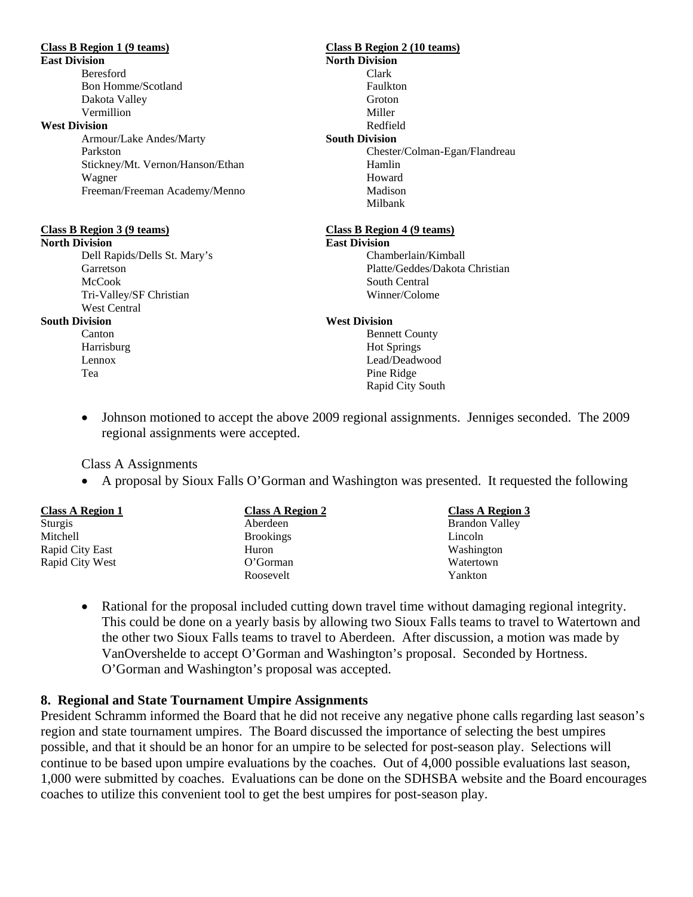Beresford Clark Bon Homme/Scotland Faulkton Dakota Valley Groton Vermillion Miller **West Division Redfield** 

Stickney/Mt. Vernon/Hanson/Ethan Hamlin Wagner Howard Freeman/Freeman Academy/Menno Madison

**North Division <b>East Division** 

Dell Rapids/Dells St. Mary's Chamberlain/Kimball McCook South Central Tri-Valley/SF Christian Winner/Colome West Central

# **Class B Region 1 (9 teams) Class B Region 2 (10 teams) East Division** North Division Armour/Lake Andes/Marty **South Division** Parkston Chester/Colman-Egan/Flandreau Milbank

## **Class B Region 3 (9 teams) Class B Region 4 (9 teams)**

Garretson Platte/Geddes/Dakota Christian

## **South Division West Division**

Canton Bennett County Harrisburg Hot Springs Lennox Lead/Deadwood Tea Pine Ridge Rapid City South

• Johnson motioned to accept the above 2009 regional assignments. Jenniges seconded. The 2009 regional assignments were accepted.

## Class A Assignments

• A proposal by Sioux Falls O'Gorman and Washington was presented. It requested the following

| <b>Class A Region 1</b> | <b>Class A Region 2</b> | <b>Class A Region 3</b> |
|-------------------------|-------------------------|-------------------------|
| Sturgis                 | Aberdeen                | <b>Brandon Valley</b>   |
| Mitchell                | <b>Brookings</b>        | Lincoln                 |
| Rapid City East         | Huron                   | Washington              |
| Rapid City West         | O'Gorman                | Watertown               |
|                         | Roosevelt               | Yankton                 |

• Rational for the proposal included cutting down travel time without damaging regional integrity. This could be done on a yearly basis by allowing two Sioux Falls teams to travel to Watertown and the other two Sioux Falls teams to travel to Aberdeen. After discussion, a motion was made by VanOvershelde to accept O'Gorman and Washington's proposal. Seconded by Hortness. O'Gorman and Washington's proposal was accepted.

# **8. Regional and State Tournament Umpire Assignments**

President Schramm informed the Board that he did not receive any negative phone calls regarding last season's region and state tournament umpires. The Board discussed the importance of selecting the best umpires possible, and that it should be an honor for an umpire to be selected for post-season play. Selections will continue to be based upon umpire evaluations by the coaches. Out of 4,000 possible evaluations last season, 1,000 were submitted by coaches. Evaluations can be done on the SDHSBA website and the Board encourages coaches to utilize this convenient tool to get the best umpires for post-season play.